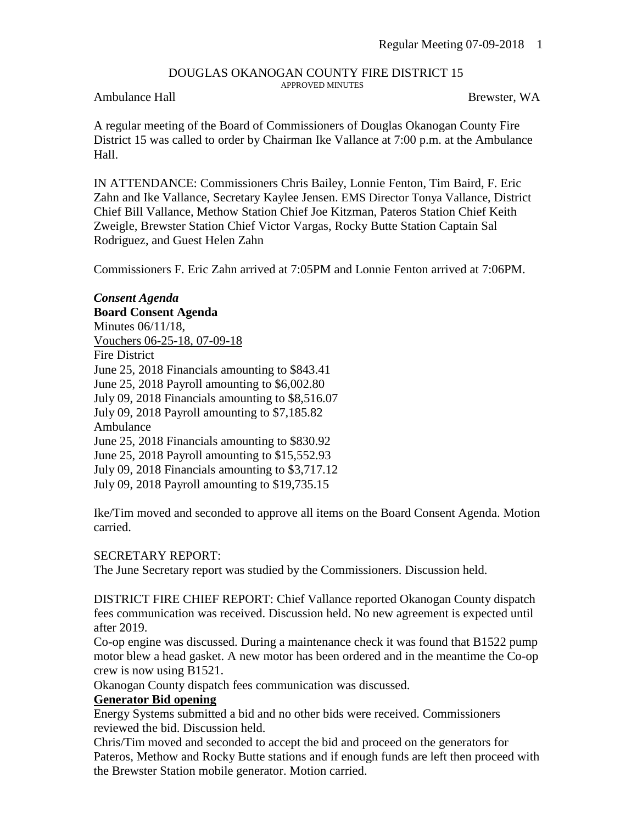#### DOUGLAS OKANOGAN COUNTY FIRE DISTRICT 15 APPROVED MINUTES

## Ambulance Hall Brewster, WA

A regular meeting of the Board of Commissioners of Douglas Okanogan County Fire District 15 was called to order by Chairman Ike Vallance at 7:00 p.m. at the Ambulance Hall.

IN ATTENDANCE: Commissioners Chris Bailey, Lonnie Fenton, Tim Baird, F. Eric Zahn and Ike Vallance, Secretary Kaylee Jensen. EMS Director Tonya Vallance, District Chief Bill Vallance, Methow Station Chief Joe Kitzman, Pateros Station Chief Keith Zweigle, Brewster Station Chief Victor Vargas, Rocky Butte Station Captain Sal Rodriguez, and Guest Helen Zahn

Commissioners F. Eric Zahn arrived at 7:05PM and Lonnie Fenton arrived at 7:06PM.

*Consent Agenda* **Board Consent Agenda** Minutes 06/11/18, Vouchers 06-25-18, 07-09-18 Fire District June 25, 2018 Financials amounting to \$843.41 June 25, 2018 Payroll amounting to \$6,002.80 July 09, 2018 Financials amounting to \$8,516.07 July 09, 2018 Payroll amounting to \$7,185.82 Ambulance June 25, 2018 Financials amounting to \$830.92 June 25, 2018 Payroll amounting to \$15,552.93 July 09, 2018 Financials amounting to \$3,717.12 July 09, 2018 Payroll amounting to \$19,735.15

Ike/Tim moved and seconded to approve all items on the Board Consent Agenda. Motion carried.

#### SECRETARY REPORT:

The June Secretary report was studied by the Commissioners. Discussion held.

DISTRICT FIRE CHIEF REPORT: Chief Vallance reported Okanogan County dispatch fees communication was received. Discussion held. No new agreement is expected until after 2019.

Co-op engine was discussed. During a maintenance check it was found that B1522 pump motor blew a head gasket. A new motor has been ordered and in the meantime the Co-op crew is now using B1521.

Okanogan County dispatch fees communication was discussed.

## **Generator Bid opening**

Energy Systems submitted a bid and no other bids were received. Commissioners reviewed the bid. Discussion held.

Chris/Tim moved and seconded to accept the bid and proceed on the generators for Pateros, Methow and Rocky Butte stations and if enough funds are left then proceed with the Brewster Station mobile generator. Motion carried.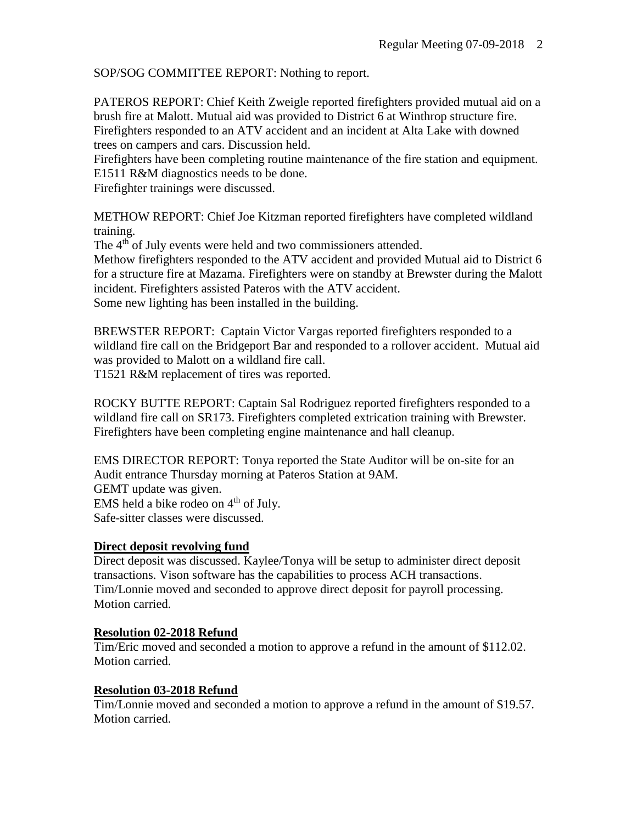SOP/SOG COMMITTEE REPORT: Nothing to report.

PATEROS REPORT: Chief Keith Zweigle reported firefighters provided mutual aid on a brush fire at Malott. Mutual aid was provided to District 6 at Winthrop structure fire. Firefighters responded to an ATV accident and an incident at Alta Lake with downed trees on campers and cars. Discussion held.

Firefighters have been completing routine maintenance of the fire station and equipment. E1511 R&M diagnostics needs to be done.

Firefighter trainings were discussed.

METHOW REPORT: Chief Joe Kitzman reported firefighters have completed wildland training.

The 4<sup>th</sup> of July events were held and two commissioners attended.

Methow firefighters responded to the ATV accident and provided Mutual aid to District 6 for a structure fire at Mazama. Firefighters were on standby at Brewster during the Malott incident. Firefighters assisted Pateros with the ATV accident. Some new lighting has been installed in the building.

BREWSTER REPORT: Captain Victor Vargas reported firefighters responded to a

wildland fire call on the Bridgeport Bar and responded to a rollover accident. Mutual aid was provided to Malott on a wildland fire call.

T1521 R&M replacement of tires was reported.

ROCKY BUTTE REPORT: Captain Sal Rodriguez reported firefighters responded to a wildland fire call on SR173. Firefighters completed extrication training with Brewster. Firefighters have been completing engine maintenance and hall cleanup.

EMS DIRECTOR REPORT: Tonya reported the State Auditor will be on-site for an Audit entrance Thursday morning at Pateros Station at 9AM. GEMT update was given. EMS held a bike rodeo on  $4<sup>th</sup>$  of July. Safe-sitter classes were discussed.

# **Direct deposit revolving fund**

Direct deposit was discussed. Kaylee/Tonya will be setup to administer direct deposit transactions. Vison software has the capabilities to process ACH transactions. Tim/Lonnie moved and seconded to approve direct deposit for payroll processing. Motion carried.

# **Resolution 02-2018 Refund**

Tim/Eric moved and seconded a motion to approve a refund in the amount of \$112.02. Motion carried.

# **Resolution 03-2018 Refund**

Tim/Lonnie moved and seconded a motion to approve a refund in the amount of \$19.57. Motion carried.